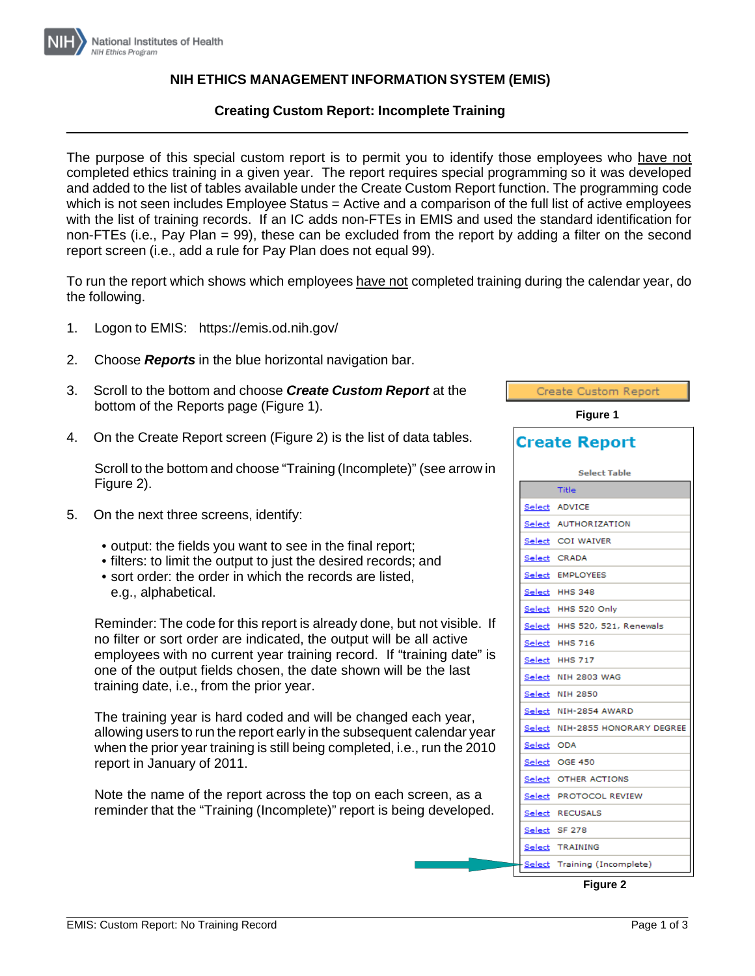

## **NIH ETHICS MANAGEMENT INFORMATION SYSTEM (EMIS)**

## **Creating Custom Report: Incomplete Training**

The purpose of this special custom report is to permit you to identify those employees who have not completed ethics training in a given year. The report requires special programming so it was developed and added to the list of tables available under the Create Custom Report function. The programming code which is not seen includes Employee Status = Active and a comparison of the full list of active employees with the list of training records. If an IC adds non-FTEs in EMIS and used the standard identification for non-FTEs (i.e., Pay Plan = 99), these can be excluded from the report by adding a filter on the second report screen (i.e., add a rule for Pay Plan does not equal 99).

To run the report which shows which employees have not completed training during the calendar year, do the following.

- 1. Logon to EMIS: https://emis.od.nih.gov/
- 2. Choose *Reports* in the blue horizontal navigation bar.
- 3. Scroll to the bottom and choose *Create Custom Report* at the bottom of the Reports page (Figure 1).
- 4. On the Create Report screen (Figure 2) is the list of data tables.

Scroll to the bottom and choose "Training (Incomplete)" (see arrow in Figure 2).

- 5. On the next three screens, identify:
	- output: the fields you want to see in the final report;
	- filters: to limit the output to just the desired records; and
	- sort order: the order in which the records are listed. e.g., alphabetical.

Reminder: The code for this report is already done, but not visible. If no filter or sort order are indicated, the output will be all active employees with no current year training record. If "training date" is one of the output fields chosen, the date shown will be the last training date, i.e., from the prior year.

The training year is hard coded and will be changed each year, allowing users to run the report early in the subsequent calendar year when the prior year training is still being completed, i.e., run the 2010 report in January of 2011.

Note the name of the report across the top on each screen, as a reminder that the "Training (Incomplete)" report is being developed.

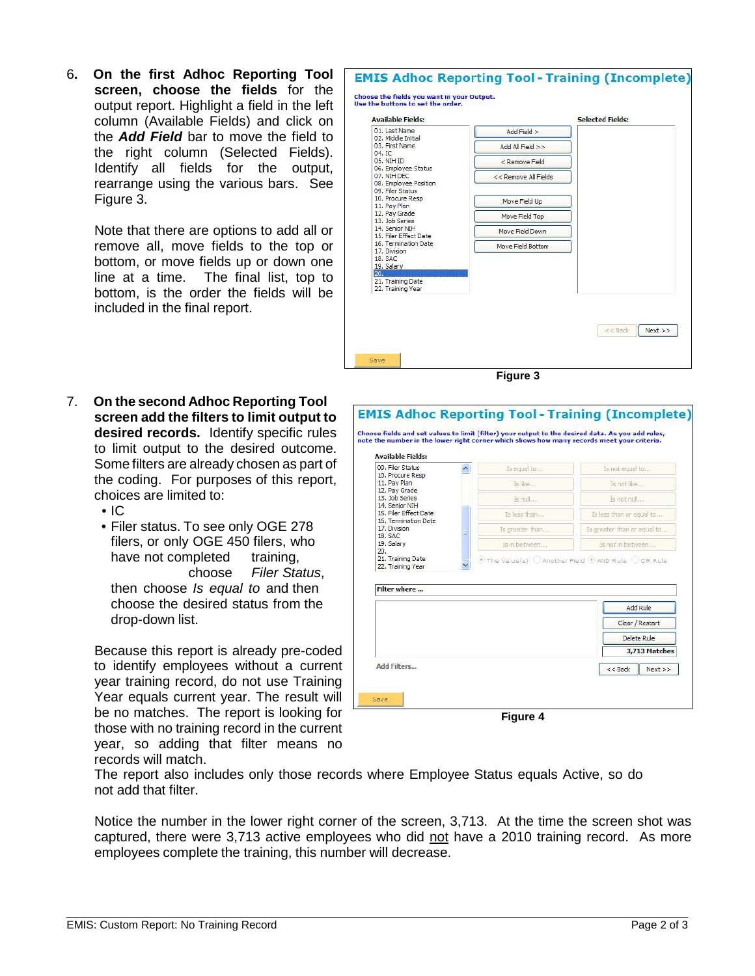6**. On the first Adhoc Reporting Tool screen, choose the fields** for the output report. Highlight a field in the left column (Available Fields) and click on the *Add Field* bar to move the field to the right column (Selected Fields). Identify all fields for the output, rearrange using the various bars. See Figure 3.

> Note that there are options to add all or remove all, move fields to the top or bottom, or move fields up or down one line at a time. The final list, top to bottom, is the order the fields will be included in the final report.

7. **On the second Adhoc Reporting Tool screen add the filters to limit output to desired records.** Identify specific rules to limit output to the desired outcome. Some filters are already chosen as part of the coding. For purposes of this report, choices are limited to:

• IC

• Filer status. To see only OGE 278 filers, or only OGE 450 filers, who have not completed training. choose *Filer Status*, then choose *Is equal to* and then choose the desired status from the drop-down list.

Because this report is already pre-coded to identify employees without a current year training record, do not use Training Year equals current year. The result will be no matches. The report is looking for those with no training record in the current year, so adding that filter means no records will match.



**Figure 3**

| <b>Available Fields:</b><br>09. Filer Status<br>10. Procure Resp<br>11. Pay Plan<br>12. Pay Grade<br>13. Job Series<br>14. Senior NIH<br>15. Filer Effect Date<br>16. Termination Date<br>17. Division | $\overline{\phantom{a}}$ | Is equal to     | Is not equal to                                         |
|--------------------------------------------------------------------------------------------------------------------------------------------------------------------------------------------------------|--------------------------|-----------------|---------------------------------------------------------|
|                                                                                                                                                                                                        |                          | Is like         | Is not like                                             |
|                                                                                                                                                                                                        |                          | Is null         | Is not nul                                              |
|                                                                                                                                                                                                        |                          | Is less than    | Is less than or equal to                                |
|                                                                                                                                                                                                        |                          | Is greater than | Is greater than or equal to                             |
| 18, SAC<br>19. Salary<br>20.                                                                                                                                                                           |                          | Is in between   | Is not in between                                       |
|                                                                                                                                                                                                        |                          |                 | (*) The Value(s) C Another Field (*) AND Rule C OR Rule |
| 22. Training Year<br>Filter where                                                                                                                                                                      |                          |                 |                                                         |
|                                                                                                                                                                                                        |                          |                 | <b>Add Rule</b>                                         |
|                                                                                                                                                                                                        |                          |                 | Clear / Restart                                         |
|                                                                                                                                                                                                        |                          |                 | Delete Rule                                             |
|                                                                                                                                                                                                        |                          |                 | 3.713 Matches                                           |

The report also includes only those records where Employee Status equals Active, so do not add that filter.

Notice the number in the lower right corner of the screen, 3,713. At the time the screen shot was captured, there were 3,713 active employees who did not have a 2010 training record. As more employees complete the training, this number will decrease.